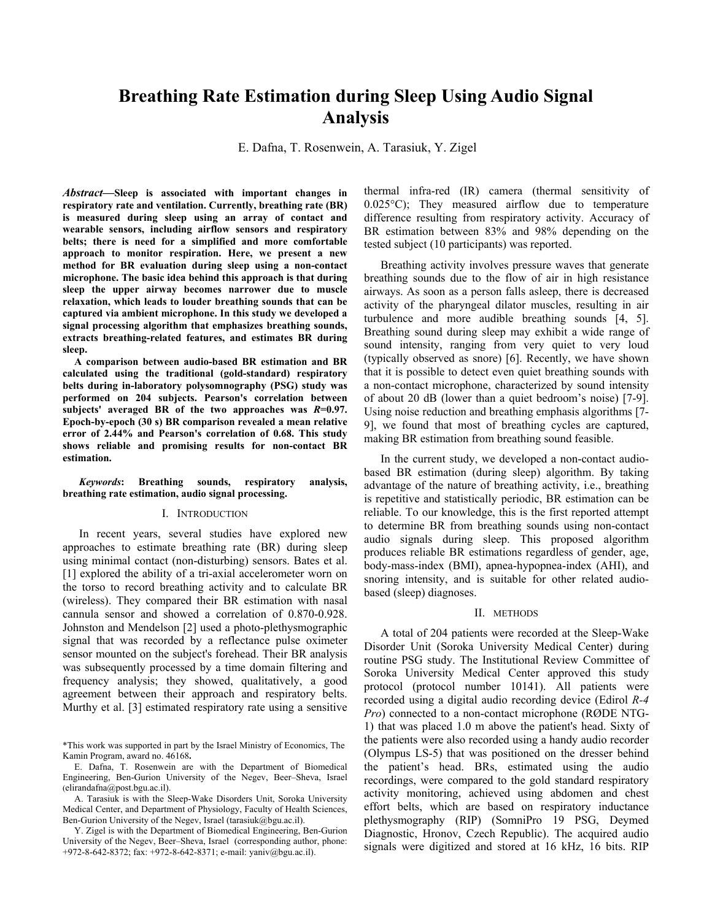# **Breathing Rate Estimation during Sleep Using Audio Signal Analysis**

E. Dafna, T. Rosenwein, A. Tarasiuk, Y. Zigel

Abstract—Sleep is associated with important changes in respiratory rate and ventilation. Currently, breathing rate (BR) is measured during sleep using an array of contact and wearable sensors, including airflow sensors and respiratory belts; there is need for a simplified and more comfortable approach to monitor respiration. Here, we present a new method for BR evaluation during sleep using a non-contact microphone. The basic idea behind this approach is that during sleep the upper airway becomes narrower due to muscle relaxation, which leads to louder breathing sounds that can be captured via ambient microphone. In this study we developed a signal processing algorithm that emphasizes breathing sounds, extracts breathing-related features, and estimates BR during sleep.

A comparison between audio-based BR estimation and BR calculated using the traditional (gold-standard) respiratory belts during in-laboratory polysomnography (PSG) study was performed on 204 subjects. Pearson's correlation between subjects' averaged BR of the two approaches was  $R=0.97$ . Epoch-by-epoch (30 s) BR comparison revealed a mean relative error of 2.44% and Pearson's correlation of 0.68. This study shows reliable and promising results for non-contact BR estimation.

#### Keywords: Breathing sounds, respiratory analysis. breathing rate estimation, audio signal processing.

#### I. INTRODUCTION

In recent years, several studies have explored new approaches to estimate breathing rate (BR) during sleep using minimal contact (non-disturbing) sensors. Bates et al. [1] explored the ability of a tri-axial accelerometer worn on the torso to record breathing activity and to calculate BR (wireless). They compared their BR estimation with nasal cannula sensor and showed a correlation of 0.870-0.928. Johnston and Mendelson [2] used a photo-plethysmographic signal that was recorded by a reflectance pulse oximeter sensor mounted on the subject's forehead. Their BR analysis was subsequently processed by a time domain filtering and frequency analysis; they showed, qualitatively, a good agreement between their approach and respiratory belts. Murthy et al. [3] estimated respiratory rate using a sensitive

thermal infra-red (IR) camera (thermal sensitivity of  $0.025\textdegree C$ ; They measured airflow due to temperature difference resulting from respiratory activity. Accuracy of BR estimation between 83% and 98% depending on the tested subject (10 participants) was reported.

Breathing activity involves pressure waves that generate breathing sounds due to the flow of air in high resistance airways. As soon as a person falls asleep, there is decreased activity of the pharyngeal dilator muscles, resulting in air turbulence and more audible breathing sounds [4, 5]. Breathing sound during sleep may exhibit a wide range of sound intensity, ranging from very quiet to very loud (typically observed as snore) [6]. Recently, we have shown that it is possible to detect even quiet breathing sounds with a non-contact microphone, characterized by sound intensity of about 20 dB (lower than a quiet bedroom's noise) [7-9]. Using noise reduction and breathing emphasis algorithms [7-1] 9], we found that most of breathing cycles are captured, making BR estimation from breathing sound feasible.

In the current study, we developed a non-contact audiobased BR estimation (during sleep) algorithm. By taking advantage of the nature of breathing activity, i.e., breathing is repetitive and statistically periodic, BR estimation can be reliable. To our knowledge, this is the first reported attempt to determine BR from breathing sounds using non-contact audio signals during sleep. This proposed algorithm produces reliable BR estimations regardless of gender, age, body-mass-index (BMI), apnea-hypopnea-index (AHI), and snoring intensity, and is suitable for other related audiobased (sleep) diagnoses.

#### II. METHODS

A total of 204 patients were recorded at the Sleep-Wake Disorder Unit (Soroka University Medical Center) during routine PSG study. The Institutional Review Committee of Soroka University Medical Center approved this study protocol (protocol number 10141). All patients were recorded using a digital audio recording device (Edirol R-4 *Pro*) connected to a non-contact microphone (RØDE NTG-1) that was placed 1.0 m above the patient's head. Sixty of the patients were also recorded using a handy audio recorder (Olympus LS-5) that was positioned on the dresser behind the patient's head. BRs, estimated using the audio recordings, were compared to the gold standard respiratory activity monitoring, achieved using abdomen and chest effort belts, which are based on respiratory inductance plethysmography (RIP) (SomniPro 19 PSG, Deymed Diagnostic, Hronov, Czech Republic). The acquired audio signals were digitized and stored at 16 kHz, 16 bits. RIP

<sup>\*</sup>This work was supported in part by the Israel Ministry of Economics, The Kamin Program, award no. 46168.

E. Dafna, T. Rosenwein are with the Department of Biomedical Engineering, Ben-Gurion University of the Negev, Beer-Sheva, Israel  $(elimandafna@post.bgu.ac-il)$ .

A. Tarasiuk is with the Sleep-Wake Disorders Unit. Soroka University Medical Center, and Department of Physiology, Faculty of Health Sciences, Ben-Gurion University of the Negev, Israel (tarasiuk@bgu.ac.il).

Y. Zigel is with the Department of Biomedical Engineering, Ben-Gurion University of the Negev, Beer-Sheva, Israel (corresponding author, phone: +972-8-642-8372; fax: +972-8-642-8371; e-mail: yaniv@bgu.ac.il).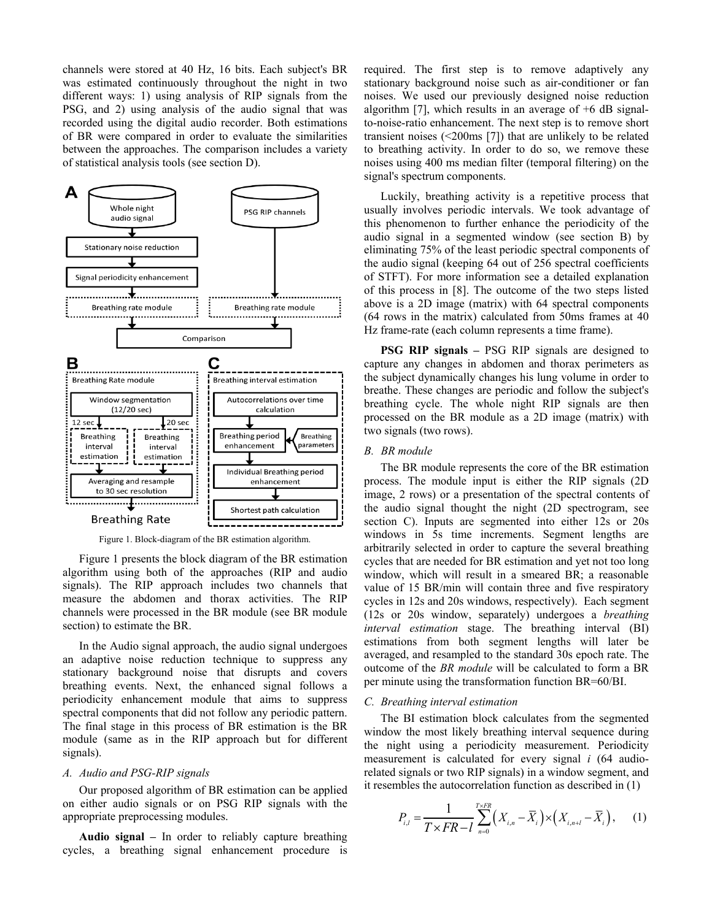channels were stored at 40 Hz, 16 bits. Each subject's BR was estimated continuously throughout the night in two different ways: 1) using analysis of RIP signals from the PSG, and 2) using analysis of the audio signal that was recorded using the digital audio recorder. Both estimations of BR were compared in order to evaluate the similarities between the approaches. The comparison includes a variety of statistical analysis tools (see section D).



Figure 1. Block-diagram of the BR estimation algorithm.

Figure 1 presents the block diagram of the BR estimation algorithm using both of the approaches (RIP and audio signals). The RIP approach includes two channels that measure the abdomen and thorax activities. The RIP channels were processed in the BR module (see BR module section) to estimate the BR.

In the Audio signal approach, the audio signal undergoes an adaptive noise reduction technique to suppress any stationary background noise that disrupts and covers breathing events. Next, the enhanced signal follows a periodicity enhancement module that aims to suppress spectral components that did not follow any periodic pattern. The final stage in this process of BR estimation is the BR module (same as in the RIP approach but for different signals).

## A. Audio and PSG-RIP signals

Our proposed algorithm of BR estimation can be applied on either audio signals or on PSG RIP signals with the appropriate preprocessing modules.

Audio signal  $-$  In order to reliably capture breathing cycles, a breathing signal enhancement procedure is required. The first step is to remove adaptively any stationary background noise such as air-conditioner or fan noises. We used our previously designed noise reduction algorithm [7], which results in an average of  $+6$  dB signalto-noise-ratio enhancement. The next step is to remove short transient noises  $(\leq 200 \text{ms}$  [7]) that are unlikely to be related to breathing activity. In order to do so, we remove these noises using 400 ms median filter (temporal filtering) on the signal's spectrum components.

Luckily, breathing activity is a repetitive process that usually involves periodic intervals. We took advantage of this phenomenon to further enhance the periodicity of the audio signal in a segmented window (see section B) by eliminating 75% of the least periodic spectral components of the audio signal (keeping 64 out of 256 spectral coefficients of STFT). For more information see a detailed explanation of this process in [8]. The outcome of the two steps listed above is a 2D image (matrix) with 64 spectral components  $(64$  rows in the matrix) calculated from 50ms frames at 40 Hz frame-rate (each column represents a time frame).

PSG RIP signals - PSG RIP signals are designed to capture any changes in abdomen and thorax perimeters as the subject dynamically changes his lung volume in order to breathe. These changes are periodic and follow the subject's breathing cycle. The whole night RIP signals are then processed on the BR module as a 2D image (matrix) with two signals (two rows).

# **B.** BR module

The BR module represents the core of the BR estimation process. The module input is either the RIP signals (2D) image, 2 rows) or a presentation of the spectral contents of the audio signal thought the night (2D spectrogram, see section C). Inputs are segmented into either 12s or 20s windows in 5s time increments. Segment lengths are arbitrarily selected in order to capture the several breathing cycles that are needed for BR estimation and yet not too long window, which will result in a smeared BR; a reasonable value of 15 BR/min will contain three and five respiratory cycles in 12s and 20s windows, respectively). Each segment (12s or 20s window, separately) undergoes a *breathing interval estimation* stage. The breathing interval (BI) estimations from both segment lengths will later be averaged, and resampled to the standard 30s epoch rate. The outcome of the BR module will be calculated to form a BR per minute using the transformation function BR=60/BI.

#### C. Breathing interval estimation

The BI estimation block calculates from the segmented window the most likely breathing interval sequence during the night using a periodicity measurement. Periodicity measurement is calculated for every signal  $i$  (64 audiorelated signals or two RIP signals) in a window segment, and it resembles the autocorrelation function as described in  $(1)$ 

$$
P_{i,l} = \frac{1}{T \times FR - l} \sum_{n=0}^{T \times FR} \left( X_{i,n} - \overline{X}_i \right) \times \left( X_{i,n+l} - \overline{X}_i \right), \quad (1)
$$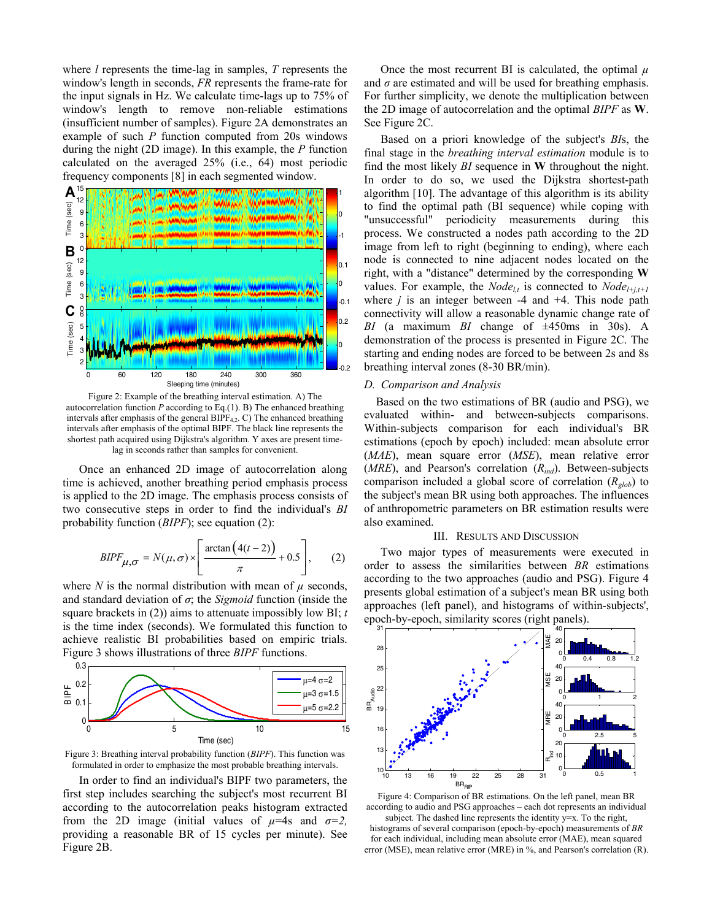where  $l$  represents the time-lag in samples,  $T$  represents the window's length in seconds, FR represents the frame-rate for the input signals in Hz. We calculate time-lags up to 75% of window's length to remove non-reliable estimations (insufficient number of samples). Figure 2A demonstrates an example of such  $P$  function computed from 20s windows during the night (2D image). In this example, the  $P$  function calculated on the averaged 25% (i.e., 64) most periodic frequency components [8] in each segmented window.



Figure 2: Example of the breathing interval estimation. A) The autocorrelation function  $P$  according to Eq.(1). B) The enhanced breathing intervals after emphasis of the general BIPF<sub>4,2</sub>. C) The enhanced breathing intervals after emphasis of the optimal BIPF. The black line represents the shortest path acquired using Dijkstra's algorithm. Y axes are present timelag in seconds rather than samples for convenient.

Once an enhanced 2D image of autocorrelation along time is achieved, another breathing period emphasis process is applied to the 2D image. The emphasis process consists of two consecutive steps in order to find the individual's BI probability function  $(BIPF)$ ; see equation (2):

$$
BIPF_{\mu,\sigma} = N(\mu,\sigma) \times \left[\frac{\arctan\left(4(t-2)\right)}{\pi} + 0.5\right],\qquad(2)
$$

where N is the normal distribution with mean of  $\mu$  seconds, and standard deviation of  $\sigma$ ; the *Sigmoid* function (inside the square brackets in (2)) aims to attenuate impossibly low BI;  $t$ is the time index (seconds). We formulated this function to achieve realistic BI probabilities based on empiric trials. Figure 3 shows illustrations of three *BIPF* functions.



Figure 3: Breathing interval probability function (BIPF). This function was formulated in order to emphasize the most probable breathing intervals.

In order to find an individual's BIPF two parameters, the first step includes searching the subject's most recurrent BI according to the autocorrelation peaks histogram extracted from the 2D image (initial values of  $\mu$ =4s and  $\sigma$ =2, providing a reasonable BR of 15 cycles per minute). See Figure 2B.

Once the most recurrent BI is calculated, the optimal  $\mu$ and  $\sigma$  are estimated and will be used for breathing emphasis. For further simplicity, we denote the multiplication between the 2D image of autocorrelation and the optimal BIPF as W. See Figure 2C.

Based on a priori knowledge of the subject's BIs, the final stage in the *breathing interval estimation* module is to find the most likely  $BI$  sequence in  $W$  throughout the night. In order to do so, we used the Dijkstra shortest-path algorithm [10]. The advantage of this algorithm is its ability to find the optimal path (BI sequence) while coping with "unsuccessful" periodicity measurements during this process. We constructed a nodes path according to the 2D image from left to right (beginning to ending), where each node is connected to nine adjacent nodes located on the right, with a "distance" determined by the corresponding W values. For example, the *Node*<sub>lt</sub> is connected to *Node*<sub>l+j,t+1</sub> where  $j$  is an integer between -4 and +4. This node path connectivity will allow a reasonable dynamic change rate of BI (a maximum BI change of  $\pm 450$ ms in 30s). A demonstration of the process is presented in Figure 2C. The starting and ending nodes are forced to be between 2s and 8s breathing interval zones (8-30 BR/min).

# D. Comparison and Analysis

Based on the two estimations of BR (audio and PSG), we evaluated within- and between-subjects comparisons. Within-subjects comparison for each individual's BR estimations (epoch by epoch) included: mean absolute error  $(MAE)$ , mean square error  $(MSE)$ , mean relative error ( $MRE$ ), and Pearson's correlation ( $R_{ind}$ ). Between-subjects comparison included a global score of correlation  $(R_{glob})$  to the subject's mean BR using both approaches. The influences of anthropometric parameters on BR estimation results were also examined.

### **III. RESULTS AND DISCUSSION**

Two major types of measurements were executed in order to assess the similarities between BR estimations according to the two approaches (audio and PSG). Figure 4 presents global estimation of a subject's mean BR using both approaches (left panel), and histograms of within-subjects', epoch-by-epoch, similarity scores (right panels).



Figure 4: Comparison of BR estimations. On the left panel, mean BR according to audio and PSG approaches – each dot represents an individual subject. The dashed line represents the identity y=x. To the right,

histograms of several comparison (epoch-by-epoch) measurements of BR for each individual, including mean absolute error (MAE), mean squared error (MSE), mean relative error (MRE) in %, and Pearson's correlation (R).